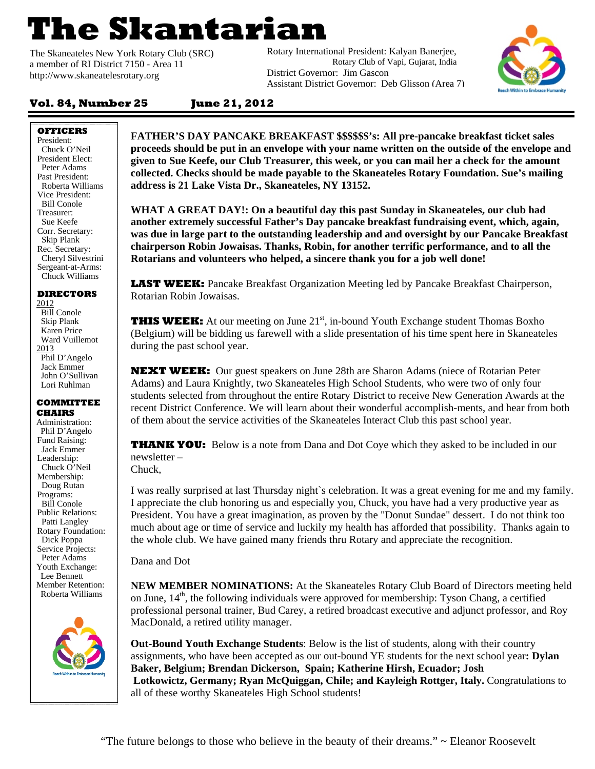# **The Skantarian**

The Skaneateles New York Rotary Club (SRC) a member of RI District 7150 *-* Area 11 http://www.skaneatelesrotary.org

Rotary International President: Kalyan Banerjee, Rotary Club of Vapi, Gujarat, India District Governor: Jim Gascon Assistant District Governor: Deb Glisson (Area 7)



## **Vol. 84, Number 25 June 21, 2012**

**OFFICERS** 

President: Chuck O'Neil President Elect: Peter Adams Past President: Roberta Williams Vice President: Bill Conole Treasurer: Sue Keefe Corr. Secretary: Skip Plank Rec. Secretary: Cheryl Silvestrini Sergeant-at-Arms: Chuck Williams

#### **DIRECTORS**  2012

 Bill Conole Skip Plank Karen Price Ward Vuillemot 2013 Phil D'Angelo Jack Emmer John O'Sullivan Lori Ruhlman

#### **COMMITTEE CHAIRS**

Administration: Phil D'Angelo Fund Raising: Jack Emmer Leadership: Chuck O'Neil Membership: Doug Rutan Programs: Bill Conole Public Relations: Patti Langley Rotary Foundation: Dick Poppa Service Projects: Peter Adams Youth Exchange: Lee Bennett Member Retention: Roberta Williams



**FATHER'S DAY PANCAKE BREAKFAST \$\$\$\$\$\$'s: All pre-pancake breakfast ticket sales proceeds should be put in an envelope with your name written on the outside of the envelope and given to Sue Keefe, our Club Treasurer, this week, or you can mail her a check for the amount collected. Checks should be made payable to the Skaneateles Rotary Foundation. Sue's mailing address is 21 Lake Vista Dr., Skaneateles, NY 13152.** 

**WHAT A GREAT DAY!: On a beautiful day this past Sunday in Skaneateles, our club had another extremely successful Father's Day pancake breakfast fundraising event, which, again, was due in large part to the outstanding leadership and and oversight by our Pancake Breakfast chairperson Robin Jowaisas. Thanks, Robin, for another terrific performance, and to all the Rotarians and volunteers who helped, a sincere thank you for a job well done!**

**LAST WEEK:** Pancake Breakfast Organization Meeting led by Pancake Breakfast Chairperson, Rotarian Robin Jowaisas.

**THIS WEEK:** At our meeting on June 21<sup>st</sup>, in-bound Youth Exchange student Thomas Boxho (Belgium) will be bidding us farewell with a slide presentation of his time spent here in Skaneateles during the past school year.

**NEXT WEEK:** Our guest speakers on June 28th are Sharon Adams (niece of Rotarian Peter Adams) and Laura Knightly, two Skaneateles High School Students, who were two of only four students selected from throughout the entire Rotary District to receive New Generation Awards at the recent District Conference. We will learn about their wonderful accomplish-ments, and hear from both of them about the service activities of the Skaneateles Interact Club this past school year.

**THANK YOU:** Below is a note from Dana and Dot Coye which they asked to be included in our newsletter –

Chuck,

I was really surprised at last Thursday night`s celebration. It was a great evening for me and my family. I appreciate the club honoring us and especially you, Chuck, you have had a very productive year as President. You have a great imagination, as proven by the "Donut Sundae" dessert. I do not think too much about age or time of service and luckily my health has afforded that possibility. Thanks again to the whole club. We have gained many friends thru Rotary and appreciate the recognition.

Dana and Dot

**NEW MEMBER NOMINATIONS:** At the Skaneateles Rotary Club Board of Directors meeting held on June, 14<sup>th</sup>, the following individuals were approved for membership: Tyson Chang, a certified professional personal trainer, Bud Carey, a retired broadcast executive and adjunct professor, and Roy MacDonald, a retired utility manager.

**Out-Bound Youth Exchange Students**: Below is the list of students, along with their country assignments, who have been accepted as our out-bound YE students for the next school year**: Dylan Baker, Belgium; Brendan Dickerson, Spain; Katherine Hirsh, Ecuador; Josh Lotkowictz, Germany; Ryan McQuiggan, Chile; and Kayleigh Rottger, Italy.** Congratulations to all of these worthy Skaneateles High School students!